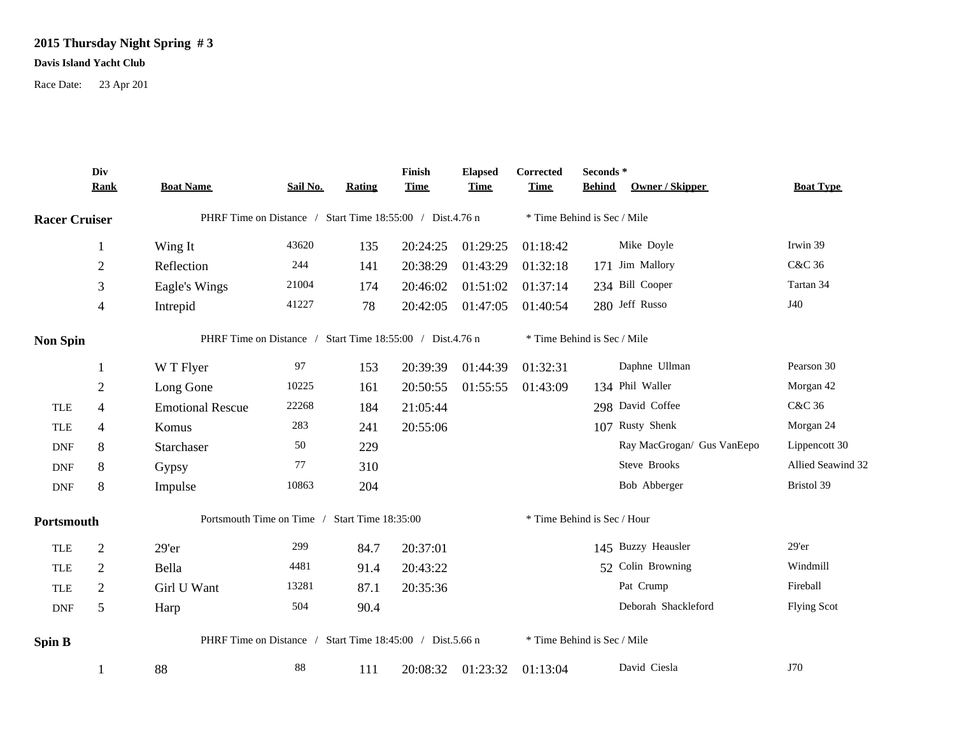## **2015 Thursday Night Spring # 3**

## **Davis Island Yacht Club**

Race Date: 23 Apr 201

|                      | Div<br>Rank    | <b>Boat Name</b>                                          | Sail No. | Rating | Finish<br><b>Time</b> | <b>Elapsed</b><br><b>Time</b> | Corrected<br><b>Time</b>    | Seconds *<br><b>Behind</b><br>Owner / Skipper | <b>Boat Type</b>   |  |  |  |
|----------------------|----------------|-----------------------------------------------------------|----------|--------|-----------------------|-------------------------------|-----------------------------|-----------------------------------------------|--------------------|--|--|--|
| <b>Racer Cruiser</b> |                | PHRF Time on Distance / Start Time 18:55:00 / Dist.4.76 n |          |        |                       |                               | * Time Behind is Sec / Mile |                                               |                    |  |  |  |
|                      | 1              | Wing It                                                   | 43620    | 135    | 20:24:25              | 01:29:25                      | 01:18:42                    | Mike Doyle                                    | Irwin 39           |  |  |  |
|                      | $\overline{c}$ | Reflection                                                | 244      | 141    | 20:38:29              | 01:43:29                      | 01:32:18                    | 171 Jim Mallory                               | C&C 36             |  |  |  |
|                      | 3              | Eagle's Wings                                             | 21004    | 174    | 20:46:02              | 01:51:02                      | 01:37:14                    | 234 Bill Cooper                               | Tartan 34          |  |  |  |
|                      | $\overline{4}$ | Intrepid                                                  | 41227    | 78     | 20:42:05              | 01:47:05                      | 01:40:54                    | 280 Jeff Russo                                | J40                |  |  |  |
| <b>Non Spin</b>      |                | PHRF Time on Distance / Start Time 18:55:00 / Dist.4.76 n |          |        |                       |                               |                             | * Time Behind is Sec / Mile                   |                    |  |  |  |
|                      | $\mathbf{1}$   | W T Flyer                                                 | 97       | 153    | 20:39:39              | 01:44:39                      | 01:32:31                    | Daphne Ullman                                 | Pearson 30         |  |  |  |
|                      | $\overline{2}$ | Long Gone                                                 | 10225    | 161    | 20:50:55              | 01:55:55                      | 01:43:09                    | 134 Phil Waller                               | Morgan 42          |  |  |  |
| <b>TLE</b>           | 4              | <b>Emotional Rescue</b>                                   | 22268    | 184    | 21:05:44              |                               |                             | 298 David Coffee                              | C&C 36             |  |  |  |
| <b>TLE</b>           | $\overline{4}$ | Komus                                                     | 283      | 241    | 20:55:06              |                               |                             | 107 Rusty Shenk                               | Morgan 24          |  |  |  |
| DNF                  | 8              | Starchaser                                                | 50       | 229    |                       |                               |                             | Ray MacGrogan/ Gus VanEepo                    | Lippencott 30      |  |  |  |
| <b>DNF</b>           | 8              | Gypsy                                                     | 77       | 310    |                       |                               |                             | Steve Brooks                                  | Allied Seawind 32  |  |  |  |
| <b>DNF</b>           | 8              | Impulse                                                   | 10863    | 204    |                       |                               |                             | Bob Abberger                                  | Bristol 39         |  |  |  |
| Portsmouth           |                | Portsmouth Time on Time / Start Time 18:35:00             |          |        |                       |                               |                             | * Time Behind is Sec / Hour                   |                    |  |  |  |
| <b>TLE</b>           | $\overline{2}$ | 29'er                                                     | 299      | 84.7   | 20:37:01              |                               |                             | 145 Buzzy Heausler                            | $29'$ er           |  |  |  |
| <b>TLE</b>           | $\overline{2}$ | Bella                                                     | 4481     | 91.4   | 20:43:22              |                               |                             | 52 Colin Browning                             | Windmill           |  |  |  |
| <b>TLE</b>           | $\overline{2}$ | Girl U Want                                               | 13281    | 87.1   | 20:35:36              |                               | Pat Crump                   |                                               | Fireball           |  |  |  |
| <b>DNF</b>           | 5              | Harp                                                      | 504      | 90.4   |                       |                               |                             | Deborah Shackleford                           | <b>Flying Scot</b> |  |  |  |
| Spin B               |                | PHRF Time on Distance / Start Time 18:45:00 / Dist.5.66 n |          |        |                       |                               | * Time Behind is Sec / Mile |                                               |                    |  |  |  |
|                      | 1              | 88                                                        | 88       | 111    | 20:08:32              | 01:23:32                      | 01:13:04                    | David Ciesla                                  | J70                |  |  |  |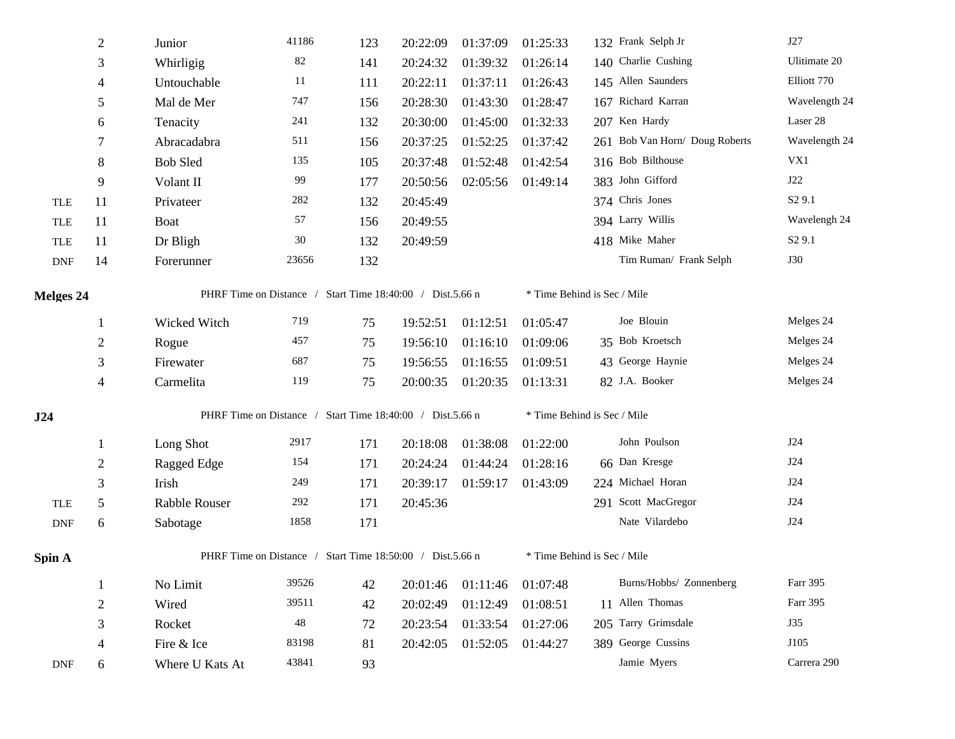|                             | $\mathfrak{2}$ | Junior                                                    | 41186                                                     | 123 | 20:22:09 | 01:37:09 | 01:25:33                    | 132 Frank Selph Jr             | J27                |  |  |  |
|-----------------------------|----------------|-----------------------------------------------------------|-----------------------------------------------------------|-----|----------|----------|-----------------------------|--------------------------------|--------------------|--|--|--|
|                             | 3              | Whirligig                                                 | 82                                                        | 141 | 20:24:32 | 01:39:32 | 01:26:14                    | 140 Charlie Cushing            | Ulitimate 20       |  |  |  |
|                             | $\overline{4}$ | Untouchable                                               | 11                                                        | 111 | 20:22:11 | 01:37:11 | 01:26:43                    | 145 Allen Saunders             | Elliott 770        |  |  |  |
|                             | 5              | Mal de Mer                                                | 747                                                       | 156 | 20:28:30 | 01:43:30 | 01:28:47                    | 167 Richard Karran             | Wavelength 24      |  |  |  |
|                             | 6              | Tenacity                                                  | 241                                                       | 132 | 20:30:00 | 01:45:00 | 01:32:33                    | 207 Ken Hardy                  | Laser 28           |  |  |  |
|                             | 7              | Abracadabra                                               | 511                                                       | 156 | 20:37:25 | 01:52:25 | 01:37:42                    | 261 Bob Van Horn/ Doug Roberts | Wavelength 24      |  |  |  |
|                             | $8\,$          | <b>Bob Sled</b>                                           | 135                                                       | 105 | 20:37:48 | 01:52:48 | 01:42:54                    | 316 Bob Bilthouse              | VX1                |  |  |  |
|                             | 9              | Volant II                                                 | 99                                                        | 177 | 20:50:56 | 02:05:56 | 01:49:14                    | 383 John Gifford               | J22                |  |  |  |
| <b>TLE</b>                  | 11             | Privateer                                                 | 282                                                       | 132 | 20:45:49 |          |                             | 374 Chris Jones                | S <sub>2</sub> 9.1 |  |  |  |
| <b>TLE</b>                  | 11             | <b>Boat</b>                                               | 57                                                        | 156 | 20:49:55 |          |                             | 394 Larry Willis               | Wavelengh 24       |  |  |  |
| <b>TLE</b>                  | 11             | Dr Bligh                                                  | $30\,$                                                    | 132 | 20:49:59 |          |                             | 418 Mike Maher                 | S <sub>2</sub> 9.1 |  |  |  |
| $\ensuremath{\mathsf{DNF}}$ | 14             | Forerunner                                                | 23656                                                     | 132 |          |          |                             | Tim Ruman/ Frank Selph         | <b>J30</b>         |  |  |  |
| Melges 24                   |                |                                                           | PHRF Time on Distance / Start Time 18:40:00 / Dist.5.66 n |     |          |          |                             | * Time Behind is Sec / Mile    |                    |  |  |  |
|                             | $\mathbf{1}$   | Wicked Witch                                              | 719                                                       | 75  | 19:52:51 | 01:12:51 | 01:05:47                    | Joe Blouin                     | Melges 24          |  |  |  |
|                             | $\overline{2}$ | Rogue                                                     | 457                                                       | 75  | 19:56:10 | 01:16:10 | 01:09:06                    | 35 Bob Kroetsch                | Melges 24          |  |  |  |
|                             | $\mathfrak{Z}$ | Firewater                                                 | 687                                                       | 75  | 19:56:55 | 01:16:55 | 01:09:51                    | 43 George Haynie               | Melges 24          |  |  |  |
|                             | $\overline{4}$ | Carmelita                                                 | 119                                                       | 75  | 20:00:35 | 01:20:35 | 01:13:31                    | 82 J.A. Booker                 | Melges 24          |  |  |  |
| J24                         |                | PHRF Time on Distance / Start Time 18:40:00 / Dist.5.66 n |                                                           |     |          |          | * Time Behind is Sec / Mile |                                |                    |  |  |  |
|                             | -1             | Long Shot                                                 | 2917                                                      | 171 | 20:18:08 | 01:38:08 | 01:22:00                    | John Poulson                   | J24                |  |  |  |
|                             | $\overline{2}$ | Ragged Edge                                               | 154                                                       | 171 | 20:24:24 | 01:44:24 | 01:28:16                    | 66 Dan Kresge                  | J24                |  |  |  |
|                             | 3              | Irish                                                     | 249                                                       | 171 | 20:39:17 | 01:59:17 | 01:43:09                    | 224 Michael Horan              | J24                |  |  |  |
| <b>TLE</b>                  | $\sqrt{5}$     | Rabble Rouser                                             | 292                                                       | 171 | 20:45:36 |          |                             | 291 Scott MacGregor            | J24                |  |  |  |
| $\ensuremath{\mathsf{DNF}}$ | 6              | Sabotage                                                  | 1858                                                      | 171 |          |          |                             | Nate Vilardebo                 | <b>J24</b>         |  |  |  |
| Spin A                      |                | PHRF Time on Distance / Start Time 18:50:00 / Dist.5.66 n |                                                           |     |          |          |                             | * Time Behind is Sec / Mile    |                    |  |  |  |
|                             | -1             | No Limit                                                  | 39526                                                     | 42  | 20:01:46 | 01:11:46 | 01:07:48                    | Burns/Hobbs/ Zonnenberg        | Farr 395           |  |  |  |
|                             | $\overline{2}$ | Wired                                                     | 39511                                                     | 42  | 20:02:49 | 01:12:49 | 01:08:51                    | 11 Allen Thomas                | Farr 395           |  |  |  |
|                             | 3              | Rocket                                                    | 48                                                        | 72  | 20:23:54 | 01:33:54 | 01:27:06                    | 205 Tarry Grimsdale            | J35                |  |  |  |
|                             | 4              | Fire & Ice                                                | 83198                                                     | 81  | 20:42:05 | 01:52:05 | 01:44:27                    | 389 George Cussins             | J105               |  |  |  |
| <b>DNF</b>                  | 6              | Where U Kats At                                           | 43841                                                     | 93  |          |          |                             | Jamie Myers                    | Carrera 290        |  |  |  |